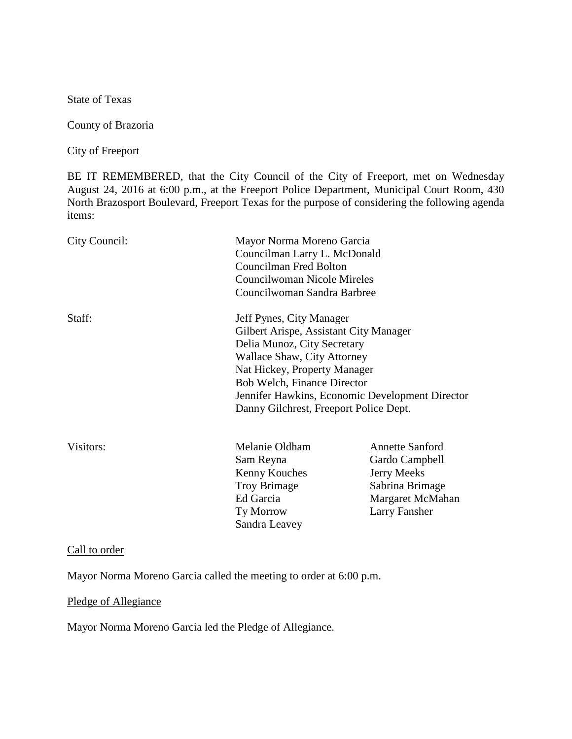State of Texas

County of Brazoria

City of Freeport

BE IT REMEMBERED, that the City Council of the City of Freeport, met on Wednesday August 24, 2016 at 6:00 p.m., at the Freeport Police Department, Municipal Court Room, 430 North Brazosport Boulevard, Freeport Texas for the purpose of considering the following agenda items:

| City Council: | Mayor Norma Moreno Garcia<br>Councilman Larry L. McDonald<br><b>Councilman Fred Bolton</b><br>Councilwoman Nicole Mireles<br>Councilwoman Sandra Barbree                                                                                                                                            |                                                                                                                        |
|---------------|-----------------------------------------------------------------------------------------------------------------------------------------------------------------------------------------------------------------------------------------------------------------------------------------------------|------------------------------------------------------------------------------------------------------------------------|
| Staff:        | Jeff Pynes, City Manager<br>Gilbert Arispe, Assistant City Manager<br>Delia Munoz, City Secretary<br>Wallace Shaw, City Attorney<br>Nat Hickey, Property Manager<br><b>Bob Welch, Finance Director</b><br>Jennifer Hawkins, Economic Development Director<br>Danny Gilchrest, Freeport Police Dept. |                                                                                                                        |
| Visitors:     | Melanie Oldham<br>Sam Reyna<br>Kenny Kouches<br><b>Troy Brimage</b><br>Ed Garcia<br>Ty Morrow<br>Sandra Leavey                                                                                                                                                                                      | <b>Annette Sanford</b><br>Gardo Campbell<br>Jerry Meeks<br>Sabrina Brimage<br>Margaret McMahan<br><b>Larry Fansher</b> |

## Call to order

Mayor Norma Moreno Garcia called the meeting to order at 6:00 p.m.

## Pledge of Allegiance

Mayor Norma Moreno Garcia led the Pledge of Allegiance.